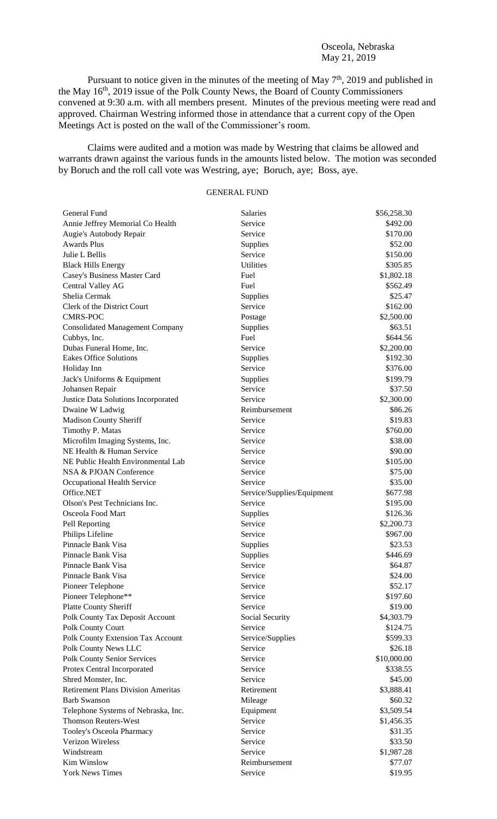## Osceola, Nebraska May 21, 2019

Pursuant to notice given in the minutes of the meeting of May  $7<sup>th</sup>$ , 2019 and published in the May 16<sup>th</sup>, 2019 issue of the Polk County News, the Board of County Commissioners convened at 9:30 a.m. with all members present. Minutes of the previous meeting were read and approved. Chairman Westring informed those in attendance that a current copy of the Open Meetings Act is posted on the wall of the Commissioner's room.

Claims were audited and a motion was made by Westring that claims be allowed and warrants drawn against the various funds in the amounts listed below. The motion was seconded by Boruch and the roll call vote was Westring, aye; Boruch, aye; Boss, aye.

# GENERAL FUND

| General Fund                              | <b>Salaries</b>            | \$56,258.30 |
|-------------------------------------------|----------------------------|-------------|
| Annie Jeffrey Memorial Co Health          | Service                    | \$492.00    |
| Augie's Autobody Repair                   | Service                    | \$170.00    |
| <b>Awards Plus</b>                        | Supplies                   | \$52.00     |
| Julie L Bellis                            | Service                    | \$150.00    |
| <b>Black Hills Energy</b>                 | <b>Utilities</b>           | \$305.85    |
| Casey's Business Master Card              | Fuel                       | \$1,802.18  |
| Central Valley AG                         | Fuel                       | \$562.49    |
| Shelia Cermak                             | Supplies                   | \$25.47     |
| Clerk of the District Court               | Service                    | \$162.00    |
| <b>CMRS-POC</b>                           | Postage                    | \$2,500.00  |
| <b>Consolidated Management Company</b>    | Supplies                   | \$63.51     |
| Cubbys, Inc.                              | Fuel                       | \$644.56    |
| Dubas Funeral Home, Inc.                  | Service                    | \$2,200.00  |
| <b>Eakes Office Solutions</b>             | Supplies                   | \$192.30    |
| Holiday Inn                               | Service                    | \$376.00    |
| Jack's Uniforms & Equipment               | Supplies                   | \$199.79    |
| Johansen Repair                           | Service                    | \$37.50     |
| Justice Data Solutions Incorporated       | Service                    | \$2,300.00  |
| Dwaine W Ladwig                           | Reimbursement              | \$86.26     |
| Madison County Sheriff                    | Service                    | \$19.83     |
| Timothy P. Matas                          | Service                    | \$760.00    |
| Microfilm Imaging Systems, Inc.           | Service                    | \$38.00     |
| NE Health & Human Service                 | Service                    | \$90.00     |
| NE Public Health Environmental Lab        | Service                    | \$105.00    |
| NSA & PJOAN Conference                    | Service                    | \$75.00     |
| Occupational Health Service               | Service                    | \$35.00     |
| Office.NET                                | Service/Supplies/Equipment | \$677.98    |
| Olson's Pest Technicians Inc.             | Service                    | \$195.00    |
| Osceola Food Mart                         | Supplies                   | \$126.36    |
| Pell Reporting                            | Service                    | \$2,200.73  |
| Philips Lifeline                          | Service                    | \$967.00    |
| Pinnacle Bank Visa                        | Supplies                   | \$23.53     |
| Pinnacle Bank Visa                        | Supplies                   | \$446.69    |
| Pinnacle Bank Visa                        | Service                    | \$64.87     |
| Pinnacle Bank Visa                        | Service                    | \$24.00     |
| Pioneer Telephone                         | Service                    | \$52.17     |
| Pioneer Telephone**                       | Service                    | \$197.60    |
| <b>Platte County Sheriff</b>              | Service                    | \$19.00     |
| Polk County Tax Deposit Account           | Social Security            | \$4,303.79  |
| Polk County Court                         | Service                    | \$124.75    |
| Polk County Extension Tax Account         | Service/Supplies           | \$599.33    |
| Polk County News LLC                      | Service                    | \$26.18     |
| <b>Polk County Senior Services</b>        | Service                    | \$10,000.00 |
| Protex Central Incorporated               | Service                    | \$338.55    |
| Shred Monster, Inc.                       | Service                    | \$45.00     |
| <b>Retirement Plans Division Ameritas</b> | Retirement                 | \$3,888.41  |
| <b>Barb Swanson</b>                       | Mileage                    | \$60.32     |
| Telephone Systems of Nebraska, Inc.       | Equipment                  | \$3,509.54  |
| <b>Thomson Reuters-West</b>               | Service                    | \$1,456.35  |
| Tooley's Osceola Pharmacy                 | Service                    | \$31.35     |
| Verizon Wireless                          | Service                    | \$33.50     |
| Windstream                                | Service                    | \$1,987.28  |
| Kim Winslow                               | Reimbursement              | \$77.07     |
| <b>York News Times</b>                    | Service                    | \$19.95     |
|                                           |                            |             |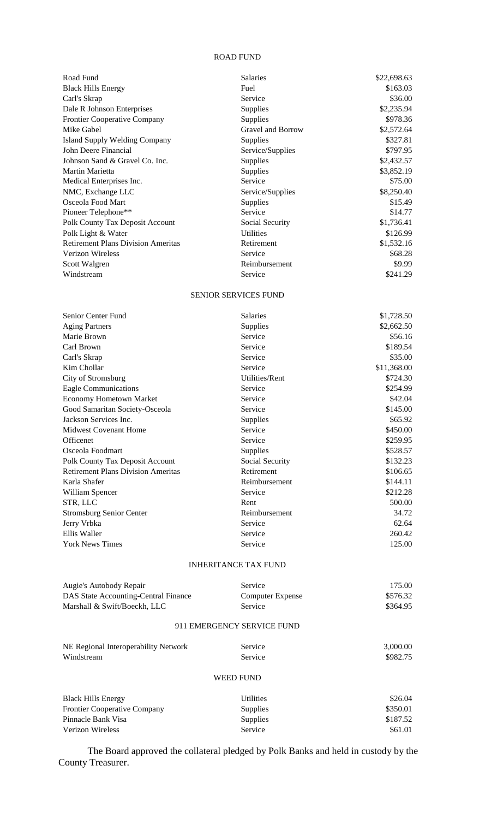#### ROAD FUND

| Road Fund                                 | <b>Salaries</b>   | \$22,698.63 |
|-------------------------------------------|-------------------|-------------|
| <b>Black Hills Energy</b>                 | Fuel              | \$163.03    |
| Carl's Skrap                              | Service           | \$36.00     |
| Dale R Johnson Enterprises                | <b>Supplies</b>   | \$2,235.94  |
| <b>Frontier Cooperative Company</b>       | <b>Supplies</b>   | \$978.36    |
| Mike Gabel                                | Gravel and Borrow | \$2,572.64  |
| Island Supply Welding Company             | Supplies          | \$327.81    |
| John Deere Financial                      | Service/Supplies  | \$797.95    |
| Johnson Sand & Gravel Co. Inc.            | <b>Supplies</b>   | \$2,432.57  |
| Martin Marietta                           | <b>Supplies</b>   | \$3,852.19  |
| Medical Enterprises Inc.                  | Service           | \$75.00     |
| NMC, Exchange LLC                         | Service/Supplies  | \$8,250.40  |
| Osceola Food Mart                         | Supplies          | \$15.49     |
| Pioneer Telephone**                       | Service           | \$14.77     |
| Polk County Tax Deposit Account           | Social Security   | \$1,736.41  |
| Polk Light & Water                        | <b>Utilities</b>  | \$126.99    |
| <b>Retirement Plans Division Ameritas</b> | Retirement        | \$1,532.16  |
| <b>Verizon Wireless</b>                   | Service           | \$68.28     |
| Scott Walgren                             | Reimbursement     | \$9.99      |
| Windstream                                | Service           | \$241.29    |

### SENIOR SERVICES FUND

| Senior Center Fund                        | <b>Salaries</b> | \$1,728.50  |
|-------------------------------------------|-----------------|-------------|
| <b>Aging Partners</b>                     | Supplies        | \$2,662.50  |
| Marie Brown                               | Service         | \$56.16     |
| Carl Brown                                | Service         | \$189.54    |
| Carl's Skrap                              | Service         | \$35.00     |
| Kim Chollar                               | Service         | \$11,368.00 |
| City of Stromsburg                        | Utilities/Rent  | \$724.30    |
| Eagle Communications                      | Service         | \$254.99    |
| <b>Economy Hometown Market</b>            | Service         | \$42.04     |
| Good Samaritan Society-Osceola            | Service         | \$145.00    |
| Jackson Services Inc.                     | Supplies        | \$65.92     |
| <b>Midwest Covenant Home</b>              | Service         | \$450.00    |
| <b>Officenet</b>                          | Service         | \$259.95    |
| Osceola Foodmart                          | Supplies        | \$528.57    |
| Polk County Tax Deposit Account           | Social Security | \$132.23    |
| <b>Retirement Plans Division Ameritas</b> | Retirement      | \$106.65    |
| Karla Shafer                              | Reimbursement   | \$144.11    |
| William Spencer                           | Service         | \$212.28    |
| STR, LLC                                  | Rent            | 500.00      |
| <b>Stromsburg Senior Center</b>           | Reimbursement   | 34.72       |
| Jerry Vrbka                               | Service         | 62.64       |
| Ellis Waller                              | Service         | 260.42      |
| <b>York News Times</b>                    | Service         | 125.00      |

## INHERITANCE TAX FUND

| Augie's Autobody Repair              | <b>Service</b>             | 175.00   |
|--------------------------------------|----------------------------|----------|
| DAS State Accounting-Central Finance | Computer Expense           | \$576.32 |
| Marshall & Swift/Boeckh, LLC         | Service                    | \$364.95 |
|                                      | 911 EMERGENCY SERVICE FUND |          |
| NE Regional Interoperability Network | Service                    | 3,000.00 |
| Windstream                           | Service                    | \$982.75 |
|                                      | WEED FUND                  |          |

| <b>Black Hills Energy</b>           | Utilities       | \$26.04  |
|-------------------------------------|-----------------|----------|
| <b>Frontier Cooperative Company</b> | <b>Supplies</b> | \$350.01 |
| Pinnacle Bank Visa                  | <b>Supplies</b> | \$187.52 |
| Verizon Wireless                    | <b>Service</b>  | \$61.01  |

The Board approved the collateral pledged by Polk Banks and held in custody by the County Treasurer.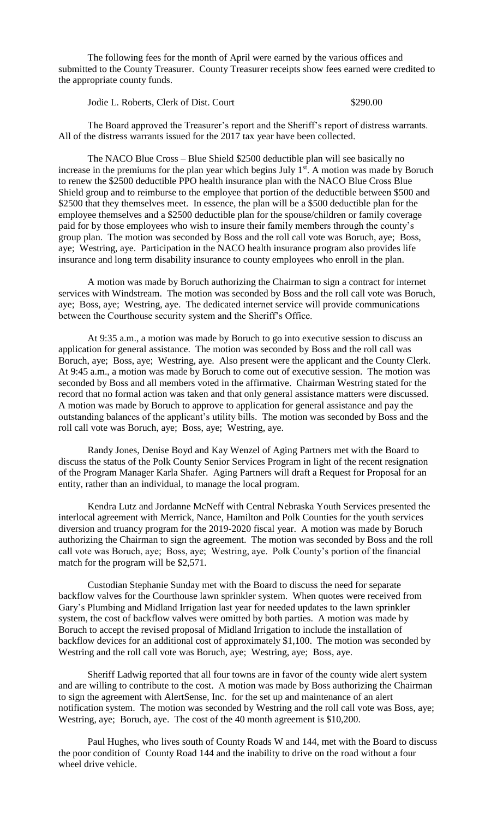The following fees for the month of April were earned by the various offices and submitted to the County Treasurer. County Treasurer receipts show fees earned were credited to the appropriate county funds.

Jodie L. Roberts, Clerk of Dist. Court \$290.00

The Board approved the Treasurer's report and the Sheriff's report of distress warrants. All of the distress warrants issued for the 2017 tax year have been collected.

The NACO Blue Cross – Blue Shield \$2500 deductible plan will see basically no increase in the premiums for the plan year which begins July  $1<sup>st</sup>$ . A motion was made by Boruch to renew the \$2500 deductible PPO health insurance plan with the NACO Blue Cross Blue Shield group and to reimburse to the employee that portion of the deductible between \$500 and \$2500 that they themselves meet. In essence, the plan will be a \$500 deductible plan for the employee themselves and a \$2500 deductible plan for the spouse/children or family coverage paid for by those employees who wish to insure their family members through the county's group plan. The motion was seconded by Boss and the roll call vote was Boruch, aye; Boss, aye; Westring, aye. Participation in the NACO health insurance program also provides life insurance and long term disability insurance to county employees who enroll in the plan.

A motion was made by Boruch authorizing the Chairman to sign a contract for internet services with Windstream. The motion was seconded by Boss and the roll call vote was Boruch, aye; Boss, aye; Westring, aye. The dedicated internet service will provide communications between the Courthouse security system and the Sheriff's Office.

At 9:35 a.m., a motion was made by Boruch to go into executive session to discuss an application for general assistance. The motion was seconded by Boss and the roll call was Boruch, aye; Boss, aye; Westring, aye. Also present were the applicant and the County Clerk. At 9:45 a.m., a motion was made by Boruch to come out of executive session. The motion was seconded by Boss and all members voted in the affirmative. Chairman Westring stated for the record that no formal action was taken and that only general assistance matters were discussed. A motion was made by Boruch to approve to application for general assistance and pay the outstanding balances of the applicant's utility bills. The motion was seconded by Boss and the roll call vote was Boruch, aye; Boss, aye; Westring, aye.

Randy Jones, Denise Boyd and Kay Wenzel of Aging Partners met with the Board to discuss the status of the Polk County Senior Services Program in light of the recent resignation of the Program Manager Karla Shafer. Aging Partners will draft a Request for Proposal for an entity, rather than an individual, to manage the local program.

Kendra Lutz and Jordanne McNeff with Central Nebraska Youth Services presented the interlocal agreement with Merrick, Nance, Hamilton and Polk Counties for the youth services diversion and truancy program for the 2019-2020 fiscal year. A motion was made by Boruch authorizing the Chairman to sign the agreement. The motion was seconded by Boss and the roll call vote was Boruch, aye; Boss, aye; Westring, aye. Polk County's portion of the financial match for the program will be \$2,571.

Custodian Stephanie Sunday met with the Board to discuss the need for separate backflow valves for the Courthouse lawn sprinkler system. When quotes were received from Gary's Plumbing and Midland Irrigation last year for needed updates to the lawn sprinkler system, the cost of backflow valves were omitted by both parties. A motion was made by Boruch to accept the revised proposal of Midland Irrigation to include the installation of backflow devices for an additional cost of approximately \$1,100. The motion was seconded by Westring and the roll call vote was Boruch, aye; Westring, aye; Boss, aye.

Sheriff Ladwig reported that all four towns are in favor of the county wide alert system and are willing to contribute to the cost. A motion was made by Boss authorizing the Chairman to sign the agreement with AlertSense, Inc. for the set up and maintenance of an alert notification system. The motion was seconded by Westring and the roll call vote was Boss, aye; Westring, aye; Boruch, aye. The cost of the 40 month agreement is \$10,200.

Paul Hughes, who lives south of County Roads W and 144, met with the Board to discuss the poor condition of County Road 144 and the inability to drive on the road without a four wheel drive vehicle.